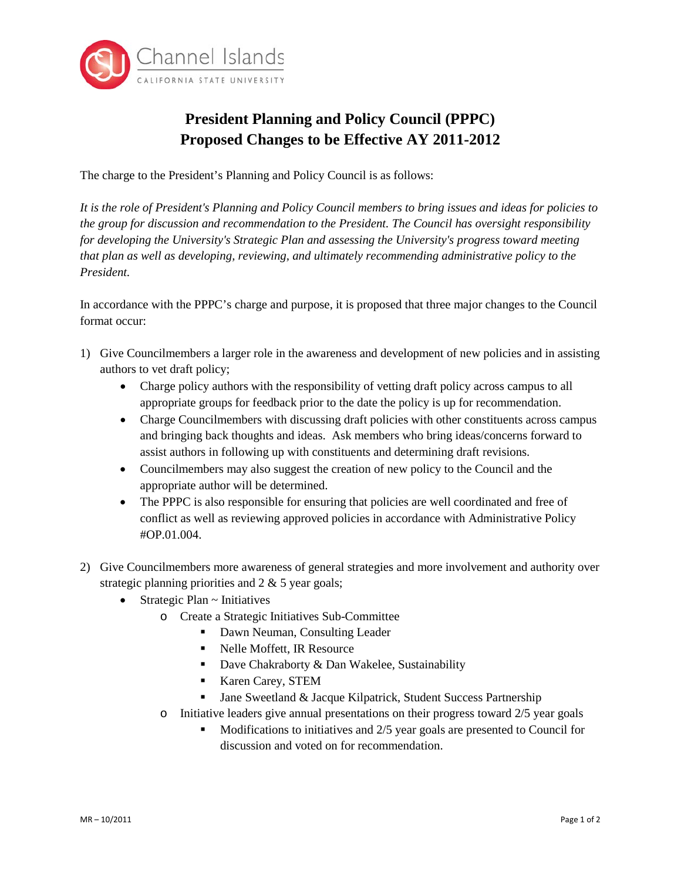

## **President Planning and Policy Council (PPPC) Proposed Changes to be Effective AY 2011-2012**

The charge to the President's Planning and Policy Council is as follows:

*It is the role of President's Planning and Policy Council members to bring issues and ideas for policies to the group for discussion and recommendation to the President. The Council has oversight responsibility for developing the University's Strategic Plan and assessing the University's progress toward meeting that plan as well as developing, reviewing, and ultimately recommending administrative policy to the President.*

In accordance with the PPPC's charge and purpose, it is proposed that three major changes to the Council format occur:

- 1) Give Councilmembers a larger role in the awareness and development of new policies and in assisting authors to vet draft policy;
	- Charge policy authors with the responsibility of vetting draft policy across campus to all appropriate groups for feedback prior to the date the policy is up for recommendation.
	- Charge Councilmembers with discussing draft policies with other constituents across campus and bringing back thoughts and ideas. Ask members who bring ideas/concerns forward to assist authors in following up with constituents and determining draft revisions.
	- Councilmembers may also suggest the creation of new policy to the Council and the appropriate author will be determined.
	- The PPPC is also responsible for ensuring that policies are well coordinated and free of conflict as well as reviewing approved policies in accordance with Administrative Policy #OP.01.004.
- 2) Give Councilmembers more awareness of general strategies and more involvement and authority over strategic planning priorities and  $2 \& 5$  year goals;
	- Strategic Plan ~ Initiatives
		- o Create a Strategic Initiatives Sub-Committee
			- Dawn Neuman, Consulting Leader
			- Nelle Moffett, IR Resource
			- Dave Chakraborty & Dan Wakelee, Sustainability
			- Karen Carey, STEM
			- Jane Sweetland & Jacque Kilpatrick, Student Success Partnership
		- o Initiative leaders give annual presentations on their progress toward 2/5 year goals
			- Modifications to initiatives and 2/5 year goals are presented to Council for discussion and voted on for recommendation.